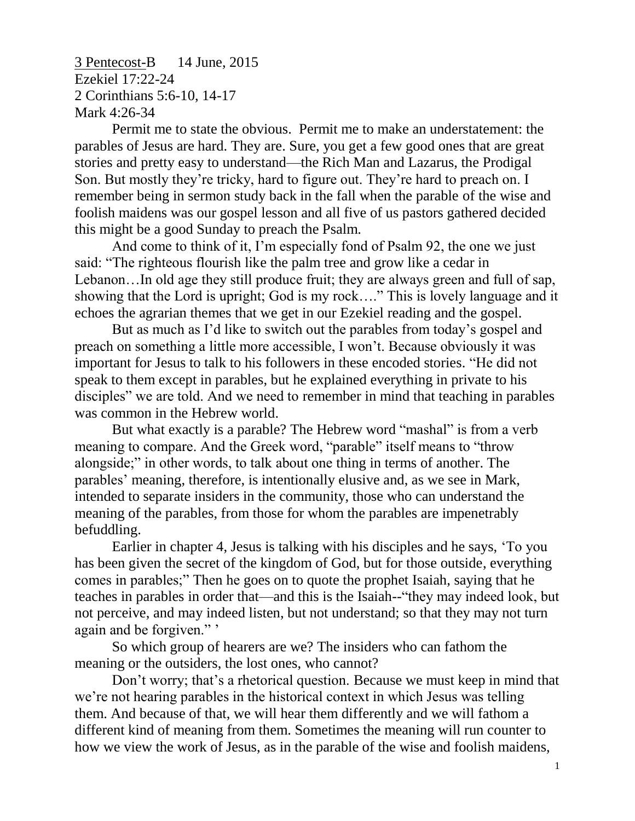3 Pentecost-B 14 June, 2015 Ezekiel 17:22-24 2 Corinthians 5:6-10, 14-17 Mark 4:26-34

Permit me to state the obvious. Permit me to make an understatement: the parables of Jesus are hard. They are. Sure, you get a few good ones that are great stories and pretty easy to understand—the Rich Man and Lazarus, the Prodigal Son. But mostly they're tricky, hard to figure out. They're hard to preach on. I remember being in sermon study back in the fall when the parable of the wise and foolish maidens was our gospel lesson and all five of us pastors gathered decided this might be a good Sunday to preach the Psalm.

And come to think of it, I'm especially fond of Psalm 92, the one we just said: "The righteous flourish like the palm tree and grow like a cedar in Lebanon…In old age they still produce fruit; they are always green and full of sap, showing that the Lord is upright; God is my rock…." This is lovely language and it echoes the agrarian themes that we get in our Ezekiel reading and the gospel.

But as much as I'd like to switch out the parables from today's gospel and preach on something a little more accessible, I won't. Because obviously it was important for Jesus to talk to his followers in these encoded stories. "He did not speak to them except in parables, but he explained everything in private to his disciples" we are told. And we need to remember in mind that teaching in parables was common in the Hebrew world.

But what exactly is a parable? The Hebrew word "mashal" is from a verb meaning to compare. And the Greek word, "parable" itself means to "throw alongside;" in other words, to talk about one thing in terms of another. The parables' meaning, therefore, is intentionally elusive and, as we see in Mark, intended to separate insiders in the community, those who can understand the meaning of the parables, from those for whom the parables are impenetrably befuddling.

Earlier in chapter 4, Jesus is talking with his disciples and he says, 'To you has been given the secret of the kingdom of God, but for those outside, everything comes in parables;" Then he goes on to quote the prophet Isaiah, saying that he teaches in parables in order that—and this is the Isaiah--"they may indeed look, but not perceive, and may indeed listen, but not understand; so that they may not turn again and be forgiven." '

So which group of hearers are we? The insiders who can fathom the meaning or the outsiders, the lost ones, who cannot?

Don't worry; that's a rhetorical question. Because we must keep in mind that we're not hearing parables in the historical context in which Jesus was telling them. And because of that, we will hear them differently and we will fathom a different kind of meaning from them. Sometimes the meaning will run counter to how we view the work of Jesus, as in the parable of the wise and foolish maidens,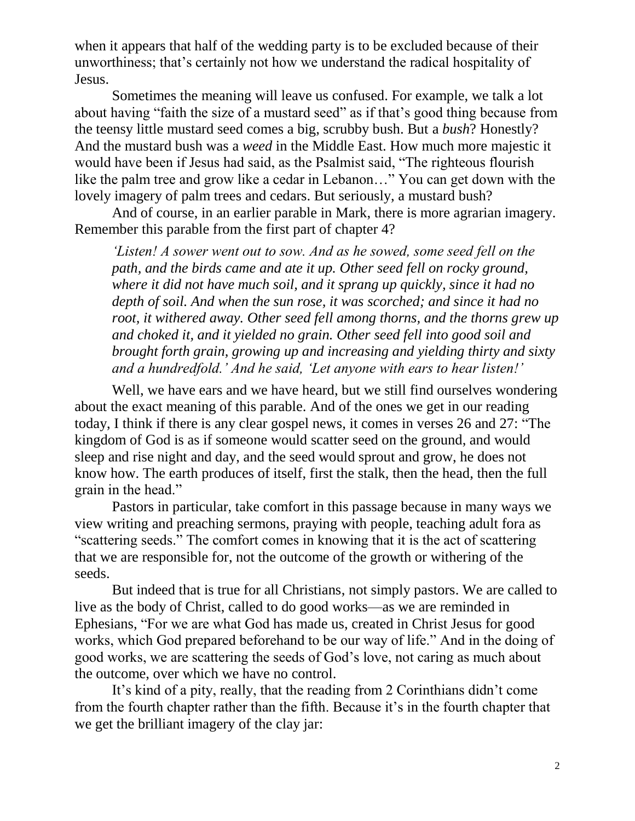when it appears that half of the wedding party is to be excluded because of their unworthiness; that's certainly not how we understand the radical hospitality of Jesus.

Sometimes the meaning will leave us confused. For example, we talk a lot about having "faith the size of a mustard seed" as if that's good thing because from the teensy little mustard seed comes a big, scrubby bush. But a *bush*? Honestly? And the mustard bush was a *weed* in the Middle East. How much more majestic it would have been if Jesus had said, as the Psalmist said, "The righteous flourish like the palm tree and grow like a cedar in Lebanon…" You can get down with the lovely imagery of palm trees and cedars. But seriously, a mustard bush?

And of course, in an earlier parable in Mark, there is more agrarian imagery. Remember this parable from the first part of chapter 4?

*'Listen! A sower went out to sow. And as he sowed, some seed fell on the path, and the birds came and ate it up. Other seed fell on rocky ground, where it did not have much soil, and it sprang up quickly, since it had no depth of soil. And when the sun rose, it was scorched; and since it had no root, it withered away. Other seed fell among thorns, and the thorns grew up and choked it, and it yielded no grain. Other seed fell into good soil and brought forth grain, growing up and increasing and yielding thirty and sixty and a hundredfold.' And he said, 'Let anyone with ears to hear listen!'* 

Well, we have ears and we have heard, but we still find ourselves wondering about the exact meaning of this parable. And of the ones we get in our reading today, I think if there is any clear gospel news, it comes in verses 26 and 27: "The kingdom of God is as if someone would scatter seed on the ground, and would sleep and rise night and day, and the seed would sprout and grow, he does not know how. The earth produces of itself, first the stalk, then the head, then the full grain in the head."

Pastors in particular, take comfort in this passage because in many ways we view writing and preaching sermons, praying with people, teaching adult fora as "scattering seeds." The comfort comes in knowing that it is the act of scattering that we are responsible for, not the outcome of the growth or withering of the seeds.

But indeed that is true for all Christians, not simply pastors. We are called to live as the body of Christ, called to do good works—as we are reminded in Ephesians, "For we are what God has made us, created in Christ Jesus for good works, which God prepared beforehand to be our way of life." And in the doing of good works, we are scattering the seeds of God's love, not caring as much about the outcome, over which we have no control.

It's kind of a pity, really, that the reading from 2 Corinthians didn't come from the fourth chapter rather than the fifth. Because it's in the fourth chapter that we get the brilliant imagery of the clay jar: